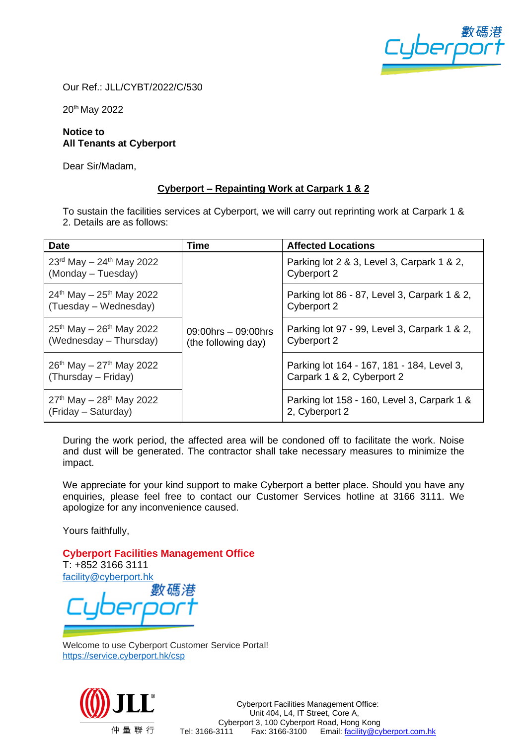

Our Ref.: JLL/CYBT/2022/C/530

20<sup>th</sup> May 2022

## **Notice to All Tenants at Cyberport**

Dear Sir/Madam,

## **Cyberport – Repainting Work at Carpark 1 & 2**

To sustain the facilities services at Cyberport, we will carry out reprinting work at Carpark 1 & 2. Details are as follows:

| <b>Date</b>                                                           | <b>Time</b>                                     | <b>Affected Locations</b>                                                |
|-----------------------------------------------------------------------|-------------------------------------------------|--------------------------------------------------------------------------|
| $23^{\text{rd}}$ May $-24^{\text{th}}$ May 2022<br>(Monday – Tuesday) |                                                 | Parking lot 2 & 3, Level 3, Carpark 1 & 2,<br>Cyberport 2                |
| $24^{th}$ May – $25^{th}$ May 2022<br>(Tuesday – Wednesday)           |                                                 | Parking lot 86 - 87, Level 3, Carpark 1 & 2,<br>Cyberport 2              |
| $25^{th}$ May - $26^{th}$ May 2022<br>(Wednesday – Thursday)          | $09:00$ hrs $-09:00$ hrs<br>(the following day) | Parking lot 97 - 99, Level 3, Carpark 1 & 2,<br>Cyberport 2              |
| $26^{th}$ May - $27^{th}$ May 2022<br>(Thursday – Friday)             |                                                 | Parking lot 164 - 167, 181 - 184, Level 3,<br>Carpark 1 & 2, Cyberport 2 |
| $27th$ May $-28th$ May 2022<br>(Friday - Saturday)                    |                                                 | Parking lot 158 - 160, Level 3, Carpark 1 &<br>2, Cyberport 2            |

During the work period, the affected area will be condoned off to facilitate the work. Noise and dust will be generated. The contractor shall take necessary measures to minimize the impact.

We appreciate for your kind support to make Cyberport a better place. Should you have any enquiries, please feel free to contact our Customer Services hotline at 3166 3111. We apologize for any inconvenience caused.

Yours faithfully,

**Cyberport Facilities Management Office**

T: +852 3166 3111 [facility@cyberport.hk](mailto:facility@cyberport.hk)

Welcome to use Cyberport Customer Service Portal! <https://service.cyberport.hk/csp>